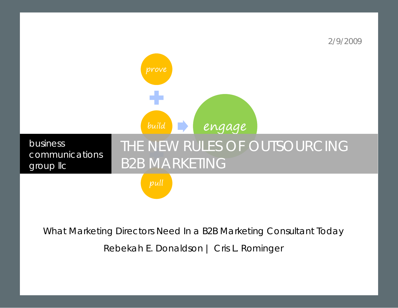

What Marketing Directors Need In a B2B Marketing Consultant Today

Rebekah E. Donaldson | Cris L. Rominger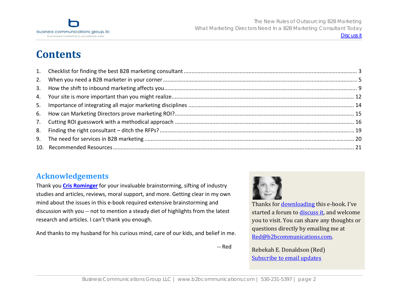

# **Contents**

### **Acknowledgements**

Thank you **Cris [Rominger](http://www.b2bcommunications.com/rominger)** for your invaluable brainstorming, sifting of industry studies and articles, reviews, moral support, and more. Getting clear in my own mind about the issues in this <sup>e</sup>‐book required extensive brainstorming and discussion with you ‐‐ not to mention <sup>a</sup> steady diet of highlights from the latest research and articles. I can't thank you enough.

And thanks to my husband for his curious mind, care of our kids, and belief in me.



Thanks for **downloading** this e-book. I've started a forum t[o discuss it, a](http://blog.b2bcommunications.com/2009/02/09/b2b-marketing-ebook/)nd welcome you to visit. You can share any thoughts or questions directly by emailing me at Red@b2bcommunications.com.

Rebekah E. Donaldson (Red) [Subscribe to email updates](http://www.feedburner.com/fb/a/emailverifySubmit?feedId=1650186&loc=en_US)

‐‐ Red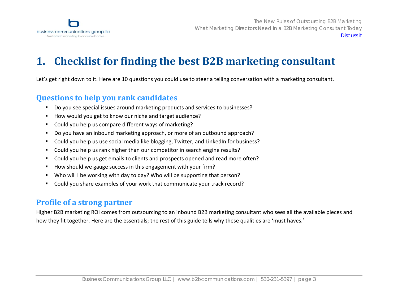<span id="page-2-0"></span>

#### **1.Checklist for finding the best B2B marketing consultant**

Let's get right down to it. Here are 10 questions you could use to steer <sup>a</sup> telling conversation with <sup>a</sup> marketing consultant.

# **Questions to help you rank candidates**

- $\blacksquare$ Do you see special issues around marketing products and services to businesses?
- × ■ How would you get to know our niche and target audience?
- Could you help us compare different ways of marketing?  $\blacksquare$
- Do you have an inbound marketing approach, or more of an outbound approach?  $\blacksquare$
- Could you help us use social media like blogging, Twitter, and LinkedIn for business?  $\blacksquare$
- Could you help us rank higher than our competitor in search engine results?  $\blacksquare$
- Could you help us get emails to clients and prospects opened and read more often?  $\blacksquare$
- How should we gauge success in this engagement with your firm?  $\blacksquare$
- Who will I be working with day to day? Who will be supporting that person? п
- Could you share examples of your work that communicate your track record?  $\blacksquare$

# **Profile of <sup>a</sup> strong partner**

Higher B2B marketing ROI comes from outsourcing to an inbound B2B marketing consultant who sees all the available pieces and how they fit together. Here are the essentials; the rest of this guide tells why these qualities are 'must haves.'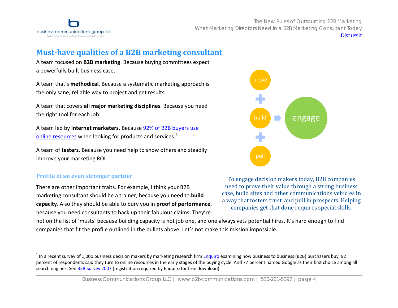

# **Musthave qualities of <sup>a</sup> B2B marketing consultant**

A team focused on **B2B marketing**. Because buying committees expect a powerfully built business case.

A team that's **methodical**. Because <sup>a</sup> systematic marketing approach is the only sane, reliable way to project and get results.

A team that covers **all major marketing disciplines**. Because you need the right tool for each job.

A team led by **internet marketers**. Because 92% of B2B [buyers](http://pages.enquiroresearch.com/b2b-research-2007.html?source=B2B_Survey_2007_whitepaper) use online [resources](http://pages.enquiroresearch.com/b2b-research-2007.html?source=B2B_Survey_2007_whitepaper) when looking for products and services.<sup>[1](#page-3-0)</sup>

A team of **testers**. Because you need help to show others and steadily improve your marketing ROI.

### **Profile of an even stronger partner**

There are other important traits. For example, I think your B2B marketing consultant should be <sup>a</sup> trainer, because you need to **build capacity**. Also they should be able to bury you in **proof of performance**, because you need consultants to back up their fabulous claims. They're



To engage decision makers today, B2B companies need to prove their value through a strong business case, build sites and other communications vehicles in a way that fosters trust, and pull in prospects. Helping companies get that done requires special skills.

not on the list of 'musts' because building capacity is not job one, and one always vets potential hires. It's hard enough to find companies that fit the profile outlined in the bullets above. Let's not make this mission impossible.

<span id="page-3-0"></span> $^1$  In a recent survey of 1,000 business decision makers by marketing research firm **[Enquiro](http://www.enquiroresearch.com/)** examining how business to business (B2B) purchasers buy, 92 percent of respondents said they turn to online resources in the early stages of the buying cycle. And 77 percent named Google as their first choice among all search engines. See B2B [Survey](http://pages.enquiroresearch.com/b2b-research-2007.html?source=B2B_Survey_2007_whitepaper) 2007 (registration required by Enquiro for free download).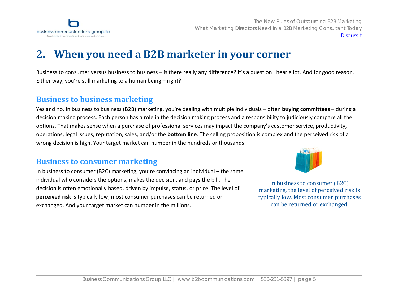<span id="page-4-0"></span>

# **2. When you need <sup>a</sup> B2B marketer in your corner**

Business to consumer versus business to business – is there really any difference? It's <sup>a</sup> question I hear <sup>a</sup> lot. And for good reason. Either way, you're still marketing to <sup>a</sup> human being – right?

### **Business to business marketing**

Yes and no. In business to business (B2B) marketing, you're dealing with multiple individuals – often **buying committees** – during <sup>a</sup> decision making process. Each person has <sup>a</sup> role in the decision making process and <sup>a</sup> responsibility to judiciously compare all the options. That makes sense when <sup>a</sup> purchase of professional services may impact the company's customer service, productivity, operations, legal issues, reputation, sales, and/or the **bottom line**. The selling proposition is complex and the perceived risk of <sup>a</sup> wrong decision is high. Your target market can number in the hundreds or thousands.

### **Business to consumer marketing**

In business to consumer (B2C) marketing, you're convincing an individual – the same individual who considers the options, makes the decision, and pays the bill. The decision is often emotionally based, driven by impulse, status, or price. The level of **perceived risk** is typically low; most consumer purchases can be returned or exchanged. And your target market can number in the millions.



In business to consumer (B2C) marketing, the level of perceived risk is typically low. Most consumer purchases can be returned or exchanged.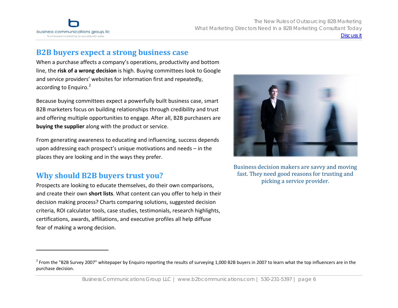

### **B2B buyers expect <sup>a</sup> strong business case**

When <sup>a</sup> purchase affects <sup>a</sup> company's operations, productivity and bottom line, the **risk of <sup>a</sup> wrong decision** is high. Buying committees look to Google and service providers' websites for information first and repeatedly, according to Enquiro.<sup>[2](#page-5-0)</sup>

Because buying committees expect <sup>a</sup> powerfully built business case, smart B2B marketers focus on building relationships through credibility and trust and offering multiple opportunities to engage. After all, B2B purchasers are **buying the supplier** along with the product or service.

From generating awareness to educating and influencing, success depends upon addressing each prospect's unique motivations and needs – in the places they are looking and in the ways they prefer.

and create their own **short lists**. What content can you offer to help in their decision making process? Charts comparing solutions, suggested decision criteria, ROI calculator tools, case studies, testimonials, research highlights, certifications, awards, affiliations, and executive profiles all help diffuse fear of making <sup>a</sup> wrong decision.



Business decision makers are savvy and moving fast. They need good reasons for trusting and <sup>p</sup>icking a service provider. **Why should B2B buyers trust you?** Prospects are looking to educate themselves, do their own comparisons,

<span id="page-5-0"></span><sup>&</sup>lt;sup>2</sup> From the "B2B Survey 2007" whitepaper by Enquiro reporting the results of surveying 1,000 B2B buyers in 2007 to learn what the top influencers are in the purchase decision.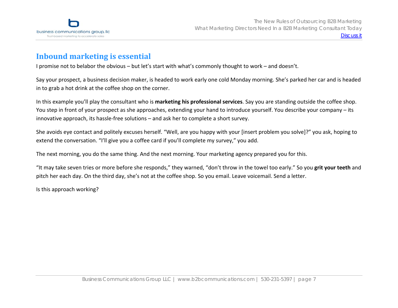

# **Inbound marketing is essential**

Ipromise not to belabor the obvious – but let's start with what's commonly thought to work – and doesn't.

Say your prospect, <sup>a</sup> business decision maker, is headed to work early one cold Monday morning. She's parked her car and is headed in to grab <sup>a</sup> hot drink at the coffee shop on the corner.

In this example you'll play the consultant who is **marketing his professional services**. Say you are standing outside the coffee shop. You step in front of your prospect as she approaches, extending your hand to introduce yourself. You describe your company – its innovative approach, its hassle‐free solutions – and ask her to complete <sup>a</sup> short survey.

She avoids eye contact and politely excuses herself. "Well, are you happy with your [insert problem you solve]?" you ask, hoping to extend the conversation. "I'll give you <sup>a</sup> coffee card if you'll complete my survey," you add.

The next morning, you do the same thing. And the next morning. Your marketing agency prepared you for this.

"It may take seven tries or more before she responds," they warned, "don't throw in the towel too early." So you **grit your teeth** and pitch her each day. On the third day, she's not at the coffee shop. So you email. Leave voicemail. Send <sup>a</sup> letter.

Is this approach working?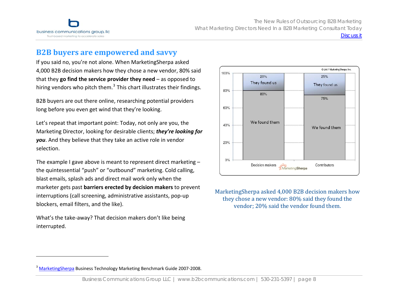

### **B2B buyers are empowered and savvy**

If you said no, you're not alone. When MarketingSherpa asked 4,000 B2B decision makers how they chose <sup>a</sup> new vendor, 80% said that they **go find the service provider they need** – as opposed to hiring vendors who pitch them. $3$  This chart illustrates their findings.

B2B buyers are out there online, researching potential providers long before you even get wind that they're looking.

Let's repeat that important point: Today, not only are you, the Marketing Director, looking for desirable clients; *they're looking for you*. And they believe that they take an active role in vendor selection.

The example I gave above is meant to represent direct marketing – the quintessential "push" or "outbound" marketing. Cold calling, blast emails, splash ads and direct mail work only when the marketer gets past **barriers erected by decision makers** to prevent interruptions (call screening, administrative assistants, pop‐up blockers, email filters, and the like).

What's the take‐away? That decision makers don't like being interrupted.



MarketingSherpa asked 4,000 B2B decision makers how they chose a new vendor: 80% said they found the vendor; 20% said the vendor found them.

<span id="page-7-0"></span><sup>&</sup>lt;sup>3</sup> [MarketingSherpa](http://www.marketingsherpa.com/?9896) Business Technology Marketing Benchmark Guide 2007-2008.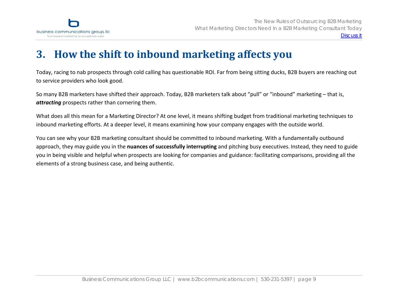<span id="page-8-0"></span>

#### **3.How the shift to inbound marketing affects you**

Today, racing to nab prospects through cold calling has questionable ROI. Far from being sitting ducks, B2B buyers are reaching out to service providers who look good.

So many B2B marketers have shifted their approach. Today, B2B marketers talk about "pull" or "inbound" marketing – that is, *attracting* prospects rather than cornering them.

What does all this mean for <sup>a</sup> Marketing Director? At one level, it means shifting budget from traditional marketing techniques to inbound marketing efforts. At <sup>a</sup> deeper level, it means examining how your company engages with the outside world.

You can see why your B2B marketing consultant should be committed to inbound marketing. With <sup>a</sup> fundamentally outbound approach, they may guide you in the **nuances of successfully interrupting** and pitching busy executives. Instead, they need to guide you in being visible and helpful when prospects are looking for companies and guidance: facilitating comparisons, providing all the elements of <sup>a</sup> strong business case, and being authentic.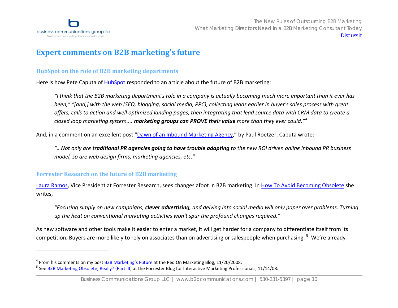

# **Expert comments on B2B marketing's future**

### **HubSpot on the role of B2B marketing departments**

Here is how Pete Caputa of <u>[HubSpot](http://www.hubspot.com/)</u> responded to an article about the future of B2B marketing:

"I think that the B2B marketing department's role in a company is actually becoming much more important than it ever has been," "[and,] with the web (SEO, blogging, social media, PPC), collecting leads earlier in buyer's sales process with great offers, calls to action and well optimized landing pages, then integrating that lead source data with CRM data to create a *closed loop marketing system.... marketing groups can PROVE their value more than they ever could."*[4](#page-9-0)

And, in <sup>a</sup> comment on an excellent post "Dawn of an Inbound [Marketing](http://www.pr2020.com/Blog/post/2008/09/Dawn-of-the-Inbound-Marketing-Agency.aspx) Agency," by Paul Roetzer, Caputa wrote:

"…Not only are **traditional PR agencies going to have trouble adapting** to the new ROI driven online inbound PR business *model, so are web design firms, marketing agencies, etc."*

### **Forrester Research on the future of B2B marketing**

<u>Laura Ramos</u>, Vice President at Forrester Research, sees changes afoot in B2B marketing. In <u>How To Avoid [Becoming](http://blogs.forrester.com/marketing/2009/01/how-to-avoid-be.html) Obsolete</u> she writes,

"Focusing simply on new campaigns, clever advertising, and delving into social media will only paper over problems. Turning *up the heat on conventional marketing activities won't spur the profound changes required."*

As new software and other tools make it easier to enter <sup>a</sup> market, it will get harder for <sup>a</sup> company to differentiate itself from its competition. Buyers are more likely to rely on associates than on advertising or salespeople when purchasing.<sup>[5](#page-9-0)</sup> We're already

<span id="page-9-0"></span><sup>&</sup>lt;sup>4</sup> From his comments on my post B2B [Marketing's](http://blog.b2bcommunications.com/2008/10/29/b2b-marketing-future/) Future at the Red On Marketing Blog, 11/20/2008.

<sup>&</sup>lt;sup>5</sup> See <u>B2B [Marketing](http://blogs.forrester.com/marketing/2008/11/will-b2b-market.html) Obsolete, Really? (Part III)</u> at the Forrester Blog for Interactive Marketing Professionals, 11/14/08.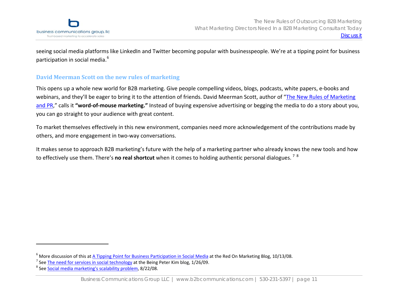

seeing social media platforms like LinkedIn and Twitter becoming popular with businesspeople. We're at <sup>a</sup> tipping point for business participation in social media.<sup>[6](#page-10-0)</sup>

### **David Meerman Scott on the new rules of marketing**

This opens up <sup>a</sup> whole new world for B2B marketing. Give people compelling videos, blogs, podcasts, white papers, <sup>e</sup>‐books and webinars, and they'll be eager to bring it to the attention of friends. David Meerman Scott, author of "The New Rules of [Marketing](http://www.amazon.com/New-Rules-Marketing-PR-Podcasting/dp/0470113456) [and](http://www.amazon.com/New-Rules-Marketing-PR-Podcasting/dp/0470113456) PR," calls it **"word‐of‐mouse marketing."** Instead of buying expensive advertising or begging the media to do <sup>a</sup> story about you, you can go straight to your audience with great content.

To market themselves effectively in this new environment, companies need more acknowledgement of the contributions made by others, and more engagement in two‐way conversations.

It makes sense to approach B2B marketing's future with the help of <sup>a</sup> marketing partner who already knows the new tools and how to effectively use them. There's **no real shortcut** when it comes to holding authentic personal dialogues. [7](#page-10-1) [8](#page-10-2)

<span id="page-10-1"></span><span id="page-10-0"></span><sup>&</sup>lt;sup>6</sup> More discussion of this at <u>A Tipping Point for Business [Participation](http://blog.b2bcommunications.com/2008/10/13/tipping-point-for-business-participation-in-social-media/) in Social Media</u> at the Red On Marketing Blog, 10/13/08.

<sup>&</sup>lt;sup>7</sup> See **The need for services in social [technology](http://www.beingpeterkim.com/2009/01/the-need-for-services-in-social-technology.html)** at the Being Peter Kim blog, 1/26/09.

<span id="page-10-2"></span><sup>&</sup>lt;sup>8</sup> See <u>Social media [marketing's](http://www.beingpeterkim.com/2008/08/social-media-ma.html) scalability problem</u>, 8/22/08.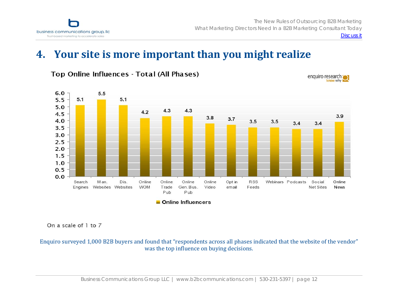<span id="page-11-0"></span>

[Discuss it](http://blog.b2bcommunications.com/2009/02/09/b2b-marketing-ebook/)

# **4. Your site is more important than you might realize**



Top Online Influences - Total (All Phases)

On a scale of 1 to 7

Enquiro surveyed 1,000 B2B buyers and found that "respondents across all phases indicated that the website of the vendor" was the top influence on buying decisions.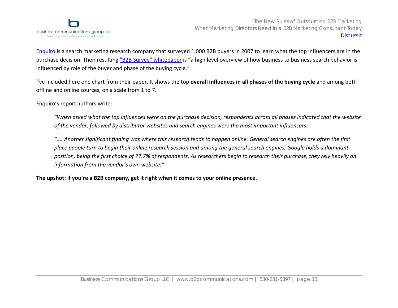[Enquiro](http://www.enquiroresearch.com/) is <sup>a</sup> search marketing research company that surveyed 1,000 B2B buyers in 2007 to learn what the top influencers are in the purchase decision. Their resulting "B2B Survey" [whitepaper](http://pages.enquiroresearch.com/b2b-research-2007.html?source=B2B_Survey_2007_whitepaper) is "a high level overview of how business to business search behavior is influenced by role of the buyer and phase of the buying cycle."

I've included here one chart from their paper. It shows the top **overall influences in all phases of the buying cycle** and among both offline and online sources, on <sup>a</sup> scale from 1 to 7.

Enquiro's report authors write:

"When asked what the top influences were on the purchase decision, respondents across all phases indicated that the website *of the vendor, followed by distributor websites and search engines were the most important influencers.*

".... Another significant finding was where this research tends to happen online. General search engines are often the first place people turn to begin their online research session and among the general search engines, Google holds a dominant position, being the first choice of 77.7% of respondents. As researchers begin to research their purchase, they rely heavily on *information from the vendor's own website."*

**The upshot: if you're <sup>a</sup> B2B company, get it right when it comes to your online presence.**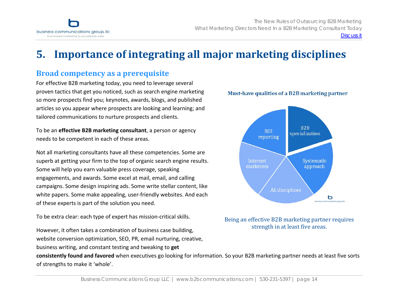<span id="page-13-0"></span>

#### **5.Importance of integrating all major marketing disciplines**

### **Broad competency as <sup>a</sup> prerequisite**

For effective B2B marketing today, you need to leverage several proven tactics that get you noticed, such as search engine marketing so more prospects find you; keynotes, awards, blogs, and published articles so you appear where prospects are looking and learning; and tailored communications to nurture prospects and clients.

To be an **effective B2B marketing consultant**, <sup>a</sup> person or agency needs to be competent in each of these areas.

Not all marketing consultants have all these competencies. Some are superb at getting your firm to the top of organic search engine results. Some will help you earn valuable press coverage, speaking engagements, and awards. Some excel at mail, email, and calling campaigns. Some design inspiring ads. Some write stellar content, like white papers. Some make appealing, user‐friendly websites. And each of these experts is part of the solution you need.

To be extra clear: each type of expert has mission‐critical skills.

However, it often takes <sup>a</sup> combination of business case building, website conversion optimization, SEO, PR, email nurturing, creative, business writing, and constant testing and tweaking to **get**



#### [Business Communications Group LLC | www.b2bcommunications.com |](http://www.b2bcommunications.com) 530-231-5397 | page 14





Being an effective B2B marketing partner requires strength in at least five areas.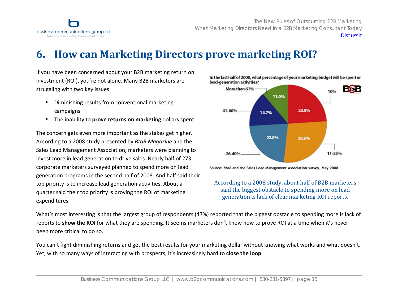<span id="page-14-0"></span>

Discuss it

# **6. How can Marketing Directors prove marketing ROI?**

If you have been concerned about your B2B marketing return on investment (ROI), you're not alone. Many B2B marketers are struggling with two key issues:

- $\blacksquare$  Diminishing results from conventional marketing campaigns
- $\blacksquare$ The inability to **prove returns on marketing** dollars spent

The concern gets even more important as the stakes get higher. According to <sup>a</sup> 2008 study presented by *BtoB Magazine* and the Sales Lead Management Association, marketers were planning to invest more in lead generation to drive sales. Nearly half of 273 corporate marketers surveyed planned to spend more on lead generation programs in the second half of 2008. And half said their top priority is to increase lead generation activities. About <sup>a</sup> quarter said their top priority is proving the ROI of marketing generation is lack of clear mark eting ROI reports. expenditures.



In the last half of 2008, what percentage of your marketing budget will be spent on

Source: BtoB and the Sales Lead Management Association survey, May 2008

According to a 2008 study, about half of B2B marketers said the biggest obstacl e to spending more on lead

What's most interesting is that the largest group of respondents (47%) reported that the biggest obstacle to spending more is lack of reports to **show the ROI** for what they are spending. It seems marketers don't know how to prove ROI at <sup>a</sup> time when it's never been more critical to do so.

You can't fight diminishing returns and get the best results for your marketing dollar without knowing what works and what doesn' t.Yet, with so many ways of interacting with prospects, it's increasingly hard to **close the loop**.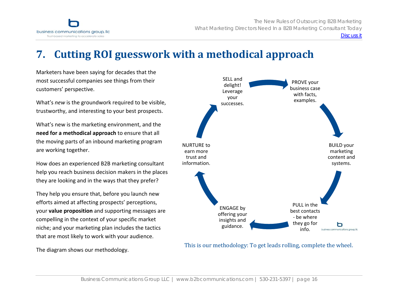<span id="page-15-0"></span>

PROVE your business casewith facts, examples.

[Discuss it](http://blog.b2bcommunications.com/2009/02/09/b2b-marketing-ebook/)

BUILD your marketing content andsystems.

ь business communications group, Ilc

# **7. Cutting ROI guesswork with <sup>a</sup> methodical approach**

Marketers have been saying for decades that the most successful companies see things from their customers' perspective.

What's *new* is the groundwork required to be visible, trustworthy, and interesting to your best prospects.

What's new is the marketing environment, and the **need for <sup>a</sup> methodical approach** to ensure that all the moving parts of an inbound marketing program are working together.

How does an experienced B2B marketing consultant help you reach business decision makers in the places they are looking and in the ways that they prefer?

They help you ensure that, before you launch new efforts aimed at affecting prospects' perceptions, your **value proposition** and supporting messages are compelling in the context of your specific market niche; and your marketing plan includes the tactics that are most likely to work with your audience.

PULL in the best contacts‐ be where they go for ENGAGE by offering your insights and guidance. NURTURE to earn more trust andinformation. info.

SELL anddelight! Leverage your successes.

The diagram shows our methodology.

This is our methodology: To get leads rolling, complete the wheel.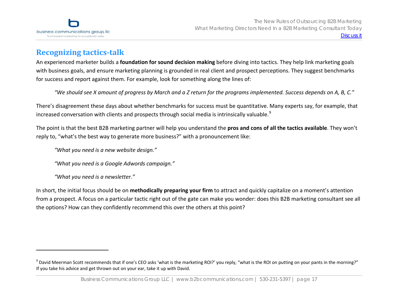

# **Recognizing tacticstalk**

An experienced marketer builds <sup>a</sup> **foundation for sound decision making** before diving into tactics. They help link marketing goals with business goals, and ensure marketing planning is grounded in real client and prospect perceptions. They suggest benchmarks for success and report against them. For example, look for something along the lines of:

"We should see X amount of progress by March and a Z return for the programs implemented. Success depends on A, B, C."

There's disagreement these days about whether benchmarks for success must be quantitative. Many experts say, for example, that increased conversation with clients and prospects through social media is intrinsically valuable. $^9$  $^9$ 

The point is that the best B2B marketing partner will help you understand the **pros and cons of all the tactics available**. They won't reply to, "what's the best way to generate more business?" with <sup>a</sup> pronouncement like:

*"What you need is <sup>a</sup> new website design."*

*"What you need is <sup>a</sup> Google Adwords campaign."*

*"What you need is <sup>a</sup> newsletter."*

In short, the initial focus should be on **methodically preparing your firm** to attract and quickly capitalize on <sup>a</sup> moment's attention from <sup>a</sup> prospect. A focus on <sup>a</sup> particular tactic right out of the gate can make you wonder: does this B2B marketing consultant see all the options? How can they confidently recommend this over the others at this point?

<span id="page-16-0"></span> $^9$  David Meerman Scott recommends that if one's CEO asks 'what is the marketing ROI?' you reply, "what is the ROI on putting on your pants in the morning?" If you take his advice and get thrown out on your ear, take it up with David.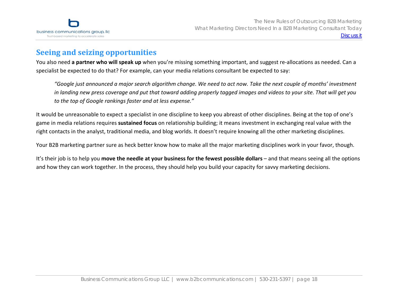

# **Seeing and seizing opportunities**

You also need **<sup>a</sup> partner who will speak up** when you're missing something important, and suggest re‐allocations as needed. Can <sup>a</sup> specialist be expected to do that? For example, can your media relations consultant be expected to say:

"Google just announced a major search algorithm change. We need to act now. Take the next couple of months' investment in landing new press coverage and put that toward adding properly tagged images and videos to your site. That will get you *to the top of Google rankings faster and at less expense."*

It would be unreasonable to expect <sup>a</sup> specialist in one discipline to keep you abreast of other disciplines. Being at the top of one's game in media relations requires **sustained focus** on relationship building; it means investment in exchanging real value with the right contacts in the analyst, traditional media, and blog worlds. It doesn't require knowing all the other marketing disciplines.

Your B2B marketing partner sure as heck better know how to make all the major marketing disciplines work in your favor, though.

It's their job is to help you **move the needle at your business for the fewest possible dollars** – and that means seeing all the options and how they can work together. In the process, they should help you build your capacity for savvy marketing decisions.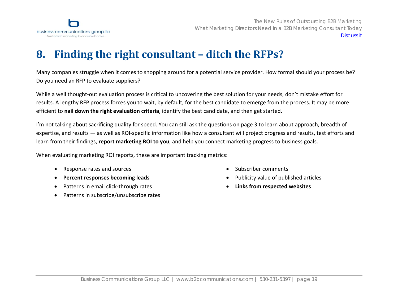<span id="page-18-0"></span>

#### **8.Finding the right consultant – ditch the RFPs?**

Many companies struggle when it comes to shopping around for <sup>a</sup> potential service provider. How formal should your process be? Do you need an RFP to evaluate suppliers?

While <sup>a</sup> well thought‐out evaluation process is critical to uncovering the best solution for your needs, don't mistake effort for results. A lengthy RFP process forces you to wait, by default, for the best candidate to emerge from the process. It may be more efficient to **nail down the right evaluation criteria**, identify the best candidate, and then get started.

I'm not talking about sacrificing quality for speed. You can still ask the questions on page 3 to learn about approach, breadth of expertise, and results — as well as ROI‐specific information like how <sup>a</sup> consultant will project progress and results, test efforts and learn from their findings, **report marketing ROI to you**, and help you connect marketing progress to business goals.

When evaluating marketing ROI reports, these are important tracking metrics:

- •Response rates and sources
- •**Percent responses becoming leads**
- •● Patterns in email click-through rates
- •• Patterns in subscribe/unsubscribe rates
- •Subscriber comments
- •Publicity value of published articles
- •**Links from respected websites**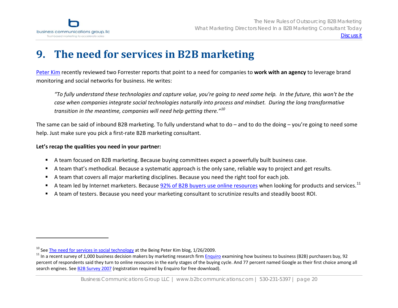<span id="page-19-0"></span>

# **9. The need for services in B2B marketing**

[Peter](http://www.beingpeterkim.com/) Kim recently reviewed two Forrester reports that point to <sup>a</sup> need for companies to **work with an agency** to leverage brand monitoring and social networks for business. He writes:

"To fully understand these technologies and capture value, you're going to need some help. In the future, this won't be the *case when companies integrate social technologies naturally into process and mindset. During the long transformative transition in the meantime, companies will need help getting there."[10](#page-19-1)*

The same can be said of inbound B2B marketing. To fully understand what to do – and to do the doing – you're going to need some help. Just make sure you pick <sup>a</sup> first‐rate B2B marketing consultant.

#### **Let's recap the qualities you need in your partner:**

- $\blacksquare$ A team focused on B2B marketing. Because buying committees expect <sup>a</sup> powerfully built business case.
- $\blacksquare$ A team that's methodical. Because <sup>a</sup> systematic approach is the only sane, reliable way to project and get results.
- $\blacksquare$ A team that covers all major marketing disciplines. Because you need the right tool for each job.
- × A team led by Internet marketers. Because **92% of B2B [buyers](http://pages.enquiroresearch.com/b2b-research-2007.html?source=B2B_Survey_2007_whitepaper) use online resources** when looking for products and services.<sup>[11](#page-19-1)</sup>
- $\blacksquare$ A team of testers. Because you need your marketing consultant to scrutinize results and steadily boost ROI.

<span id="page-19-1"></span><sup>&</sup>lt;sup>10</sup> See The need for services in social [technology](http://www.beingpeterkim.com/2009/01/the-need-for-services-in-social-technology.html) at the Being Peter Kim blog, 1/26/2009.

<sup>&</sup>lt;sup>11</sup> In a recent survey of 1,000 business decision makers by marketing research firm <u>[Enquiro](http://www.enquiroresearch.com/)</u> examining how business to business (B2B) purchasers buy, 92 percent of respondents said they turn to online resources in the early stages of the buying cycle. And 77 percent named Google as their first choice among all search engines. See B2B [Survey](http://pages.enquiroresearch.com/b2b-research-2007.html?source=B2B_Survey_2007_whitepaper) 2007 (registration required by Enquiro for free download).